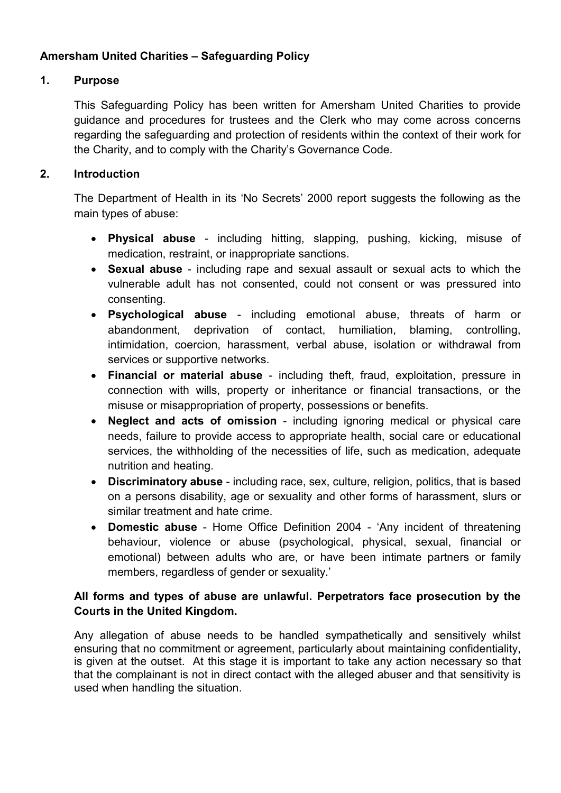# Amersham United Charities – Safeguarding Policy

## 1. Purpose

This Safeguarding Policy has been written for Amersham United Charities to provide guidance and procedures for trustees and the Clerk who may come across concerns regarding the safeguarding and protection of residents within the context of their work for the Charity, and to comply with the Charity's Governance Code.

## 2. Introduction

The Department of Health in its 'No Secrets' 2000 report suggests the following as the main types of abuse:

- Physical abuse including hitting, slapping, pushing, kicking, misuse of medication, restraint, or inappropriate sanctions.
- Sexual abuse including rape and sexual assault or sexual acts to which the vulnerable adult has not consented, could not consent or was pressured into consenting.
- Psychological abuse including emotional abuse, threats of harm or abandonment, deprivation of contact, humiliation, blaming, controlling, intimidation, coercion, harassment, verbal abuse, isolation or withdrawal from services or supportive networks.
- Financial or material abuse including theft, fraud, exploitation, pressure in connection with wills, property or inheritance or financial transactions, or the misuse or misappropriation of property, possessions or benefits.
- Neglect and acts of omission including ignoring medical or physical care needs, failure to provide access to appropriate health, social care or educational services, the withholding of the necessities of life, such as medication, adequate nutrition and heating.
- Discriminatory abuse including race, sex, culture, religion, politics, that is based on a persons disability, age or sexuality and other forms of harassment, slurs or similar treatment and hate crime.
- Domestic abuse Home Office Definition 2004 'Any incident of threatening behaviour, violence or abuse (psychological, physical, sexual, financial or emotional) between adults who are, or have been intimate partners or family members, regardless of gender or sexuality.'

# All forms and types of abuse are unlawful. Perpetrators face prosecution by the Courts in the United Kingdom.

Any allegation of abuse needs to be handled sympathetically and sensitively whilst ensuring that no commitment or agreement, particularly about maintaining confidentiality, is given at the outset. At this stage it is important to take any action necessary so that that the complainant is not in direct contact with the alleged abuser and that sensitivity is used when handling the situation.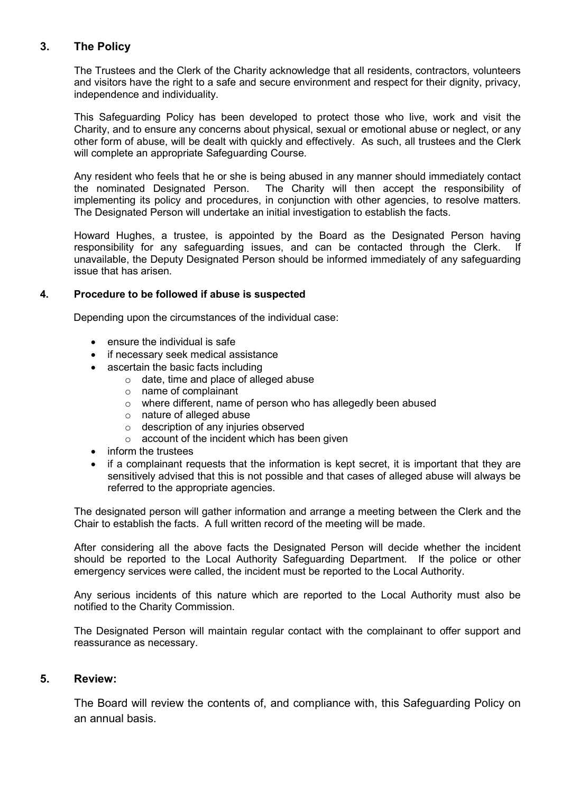#### 3. The Policy

The Trustees and the Clerk of the Charity acknowledge that all residents, contractors, volunteers and visitors have the right to a safe and secure environment and respect for their dignity, privacy, independence and individuality.

This Safeguarding Policy has been developed to protect those who live, work and visit the Charity, and to ensure any concerns about physical, sexual or emotional abuse or neglect, or any other form of abuse, will be dealt with quickly and effectively. As such, all trustees and the Clerk will complete an appropriate Safeguarding Course.

Any resident who feels that he or she is being abused in any manner should immediately contact the nominated Designated Person. The Charity will then accept the responsibility of implementing its policy and procedures, in conjunction with other agencies, to resolve matters. The Designated Person will undertake an initial investigation to establish the facts.

Howard Hughes, a trustee, is appointed by the Board as the Designated Person having responsibility for any safeguarding issues, and can be contacted through the Clerk. If unavailable, the Deputy Designated Person should be informed immediately of any safeguarding issue that has arisen.

#### 4. Procedure to be followed if abuse is suspected

Depending upon the circumstances of the individual case:

- ensure the individual is safe
- if necessary seek medical assistance
- ascertain the basic facts including
	- o date, time and place of alleged abuse
	- o name of complainant
	- o where different, name of person who has allegedly been abused
	- o nature of alleged abuse
	- o description of any injuries observed
	- o account of the incident which has been given
- inform the trustees
- if a complainant requests that the information is kept secret, it is important that they are sensitively advised that this is not possible and that cases of alleged abuse will always be referred to the appropriate agencies.

The designated person will gather information and arrange a meeting between the Clerk and the Chair to establish the facts. A full written record of the meeting will be made.

After considering all the above facts the Designated Person will decide whether the incident should be reported to the Local Authority Safeguarding Department. If the police or other emergency services were called, the incident must be reported to the Local Authority.

Any serious incidents of this nature which are reported to the Local Authority must also be notified to the Charity Commission.

The Designated Person will maintain regular contact with the complainant to offer support and reassurance as necessary.

#### 5. Review:

The Board will review the contents of, and compliance with, this Safeguarding Policy on an annual basis.